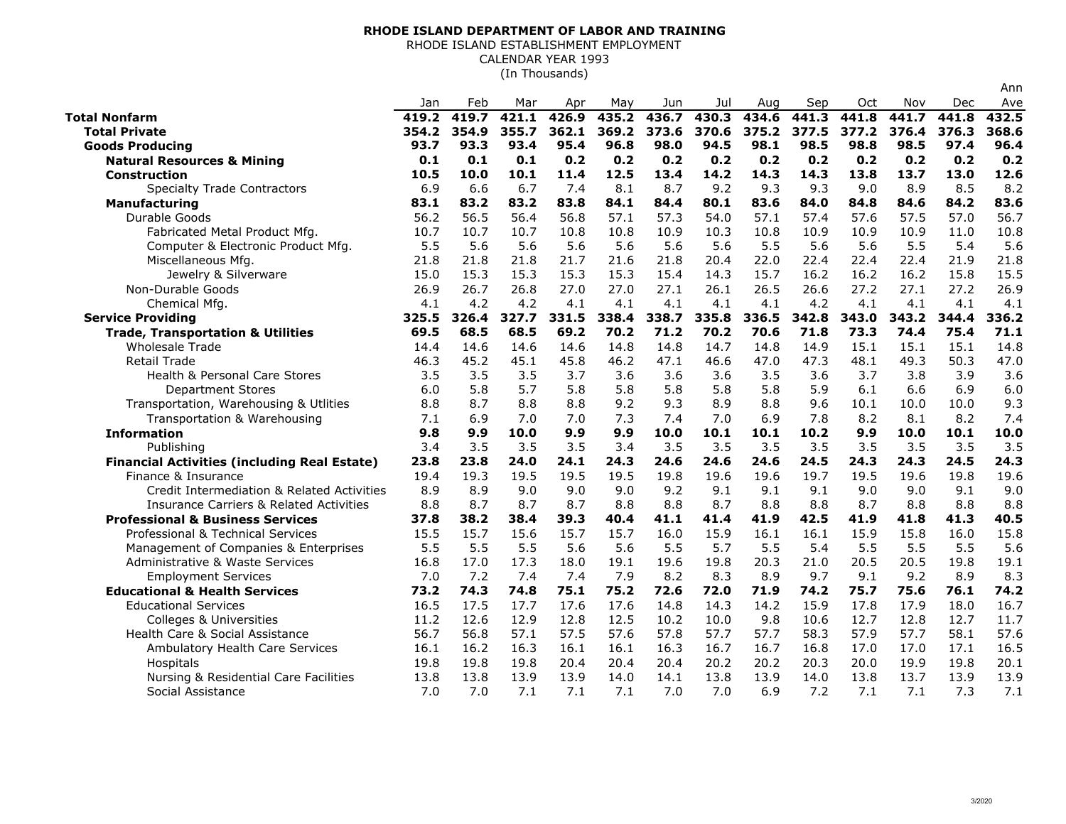## **RHODE ISLAND DEPARTMENT OF LABOR AND TRAINING**

RHODE ISLAND ESTABLISHMENT EMPLOYMENT

CALENDAR YEAR 1993

(In Thousands)

|                                                     | Jan   | Feb   | Mar   | Apr   | May   | Jun   | Jul   | Aug   | Sep   | Oct   | Nov   | Dec   | Ave   |
|-----------------------------------------------------|-------|-------|-------|-------|-------|-------|-------|-------|-------|-------|-------|-------|-------|
| <b>Total Nonfarm</b>                                | 419.2 | 419.7 | 421.1 | 426.9 | 435.2 | 436.7 | 430.3 | 434.6 | 441.3 | 441.8 | 441.7 | 441.8 | 432.5 |
| <b>Total Private</b>                                | 354.2 | 354.9 | 355.7 | 362.1 | 369.2 | 373.6 | 370.6 | 375.2 | 377.5 | 377.2 | 376.4 | 376.3 | 368.6 |
| <b>Goods Producing</b>                              | 93.7  | 93.3  | 93.4  | 95.4  | 96.8  | 98.0  | 94.5  | 98.1  | 98.5  | 98.8  | 98.5  | 97.4  | 96.4  |
| <b>Natural Resources &amp; Mining</b>               | 0.1   | 0.1   | 0.1   | 0.2   | 0.2   | 0.2   | 0.2   | 0.2   | 0.2   | 0.2   | 0.2   | 0.2   | 0.2   |
| <b>Construction</b>                                 | 10.5  | 10.0  | 10.1  | 11.4  | 12.5  | 13.4  | 14.2  | 14.3  | 14.3  | 13.8  | 13.7  | 13.0  | 12.6  |
| <b>Specialty Trade Contractors</b>                  | 6.9   | 6.6   | 6.7   | 7.4   | 8.1   | 8.7   | 9.2   | 9.3   | 9.3   | 9.0   | 8.9   | 8.5   | 8.2   |
| <b>Manufacturing</b>                                | 83.1  | 83.2  | 83.2  | 83.8  | 84.1  | 84.4  | 80.1  | 83.6  | 84.0  | 84.8  | 84.6  | 84.2  | 83.6  |
| Durable Goods                                       | 56.2  | 56.5  | 56.4  | 56.8  | 57.1  | 57.3  | 54.0  | 57.1  | 57.4  | 57.6  | 57.5  | 57.0  | 56.7  |
| Fabricated Metal Product Mfg.                       | 10.7  | 10.7  | 10.7  | 10.8  | 10.8  | 10.9  | 10.3  | 10.8  | 10.9  | 10.9  | 10.9  | 11.0  | 10.8  |
| Computer & Electronic Product Mfg.                  | 5.5   | 5.6   | 5.6   | 5.6   | 5.6   | 5.6   | 5.6   | 5.5   | 5.6   | 5.6   | 5.5   | 5.4   | 5.6   |
| Miscellaneous Mfg.                                  | 21.8  | 21.8  | 21.8  | 21.7  | 21.6  | 21.8  | 20.4  | 22.0  | 22.4  | 22.4  | 22.4  | 21.9  | 21.8  |
| Jewelry & Silverware                                | 15.0  | 15.3  | 15.3  | 15.3  | 15.3  | 15.4  | 14.3  | 15.7  | 16.2  | 16.2  | 16.2  | 15.8  | 15.5  |
| Non-Durable Goods                                   | 26.9  | 26.7  | 26.8  | 27.0  | 27.0  | 27.1  | 26.1  | 26.5  | 26.6  | 27.2  | 27.1  | 27.2  | 26.9  |
| Chemical Mfg.                                       | 4.1   | 4.2   | 4.2   | 4.1   | 4.1   | 4.1   | 4.1   | 4.1   | 4.2   | 4.1   | 4.1   | 4.1   | 4.1   |
| <b>Service Providing</b>                            | 325.5 | 326.4 | 327.7 | 331.5 | 338.4 | 338.7 | 335.8 | 336.5 | 342.8 | 343.0 | 343.2 | 344.4 | 336.2 |
| <b>Trade, Transportation &amp; Utilities</b>        | 69.5  | 68.5  | 68.5  | 69.2  | 70.2  | 71.2  | 70.2  | 70.6  | 71.8  | 73.3  | 74.4  | 75.4  | 71.1  |
| <b>Wholesale Trade</b>                              | 14.4  | 14.6  | 14.6  | 14.6  | 14.8  | 14.8  | 14.7  | 14.8  | 14.9  | 15.1  | 15.1  | 15.1  | 14.8  |
| <b>Retail Trade</b>                                 | 46.3  | 45.2  | 45.1  | 45.8  | 46.2  | 47.1  | 46.6  | 47.0  | 47.3  | 48.1  | 49.3  | 50.3  | 47.0  |
| <b>Health &amp; Personal Care Stores</b>            | 3.5   | 3.5   | 3.5   | 3.7   | 3.6   | 3.6   | 3.6   | 3.5   | 3.6   | 3.7   | 3.8   | 3.9   | 3.6   |
| <b>Department Stores</b>                            | 6.0   | 5.8   | 5.7   | 5.8   | 5.8   | 5.8   | 5.8   | 5.8   | 5.9   | 6.1   | 6.6   | 6.9   | 6.0   |
| Transportation, Warehousing & Utlities              | 8.8   | 8.7   | 8.8   | 8.8   | 9.2   | 9.3   | 8.9   | 8.8   | 9.6   | 10.1  | 10.0  | 10.0  | 9.3   |
| Transportation & Warehousing                        | 7.1   | 6.9   | 7.0   | 7.0   | 7.3   | 7.4   | 7.0   | 6.9   | 7.8   | 8.2   | 8.1   | 8.2   | 7.4   |
| <b>Information</b>                                  | 9.8   | 9.9   | 10.0  | 9.9   | 9.9   | 10.0  | 10.1  | 10.1  | 10.2  | 9.9   | 10.0  | 10.1  | 10.0  |
| Publishing                                          | 3.4   | 3.5   | 3.5   | 3.5   | 3.4   | 3.5   | 3.5   | 3.5   | 3.5   | 3.5   | 3.5   | 3.5   | 3.5   |
| <b>Financial Activities (including Real Estate)</b> | 23.8  | 23.8  | 24.0  | 24.1  | 24.3  | 24.6  | 24.6  | 24.6  | 24.5  | 24.3  | 24.3  | 24.5  | 24.3  |
| Finance & Insurance                                 | 19.4  | 19.3  | 19.5  | 19.5  | 19.5  | 19.8  | 19.6  | 19.6  | 19.7  | 19.5  | 19.6  | 19.8  | 19.6  |
| Credit Intermediation & Related Activities          | 8.9   | 8.9   | 9.0   | 9.0   | 9.0   | 9.2   | 9.1   | 9.1   | 9.1   | 9.0   | 9.0   | 9.1   | 9.0   |
| <b>Insurance Carriers &amp; Related Activities</b>  | 8.8   | 8.7   | 8.7   | 8.7   | 8.8   | 8.8   | 8.7   | 8.8   | 8.8   | 8.7   | 8.8   | 8.8   | 8.8   |
| <b>Professional &amp; Business Services</b>         | 37.8  | 38.2  | 38.4  | 39.3  | 40.4  | 41.1  | 41.4  | 41.9  | 42.5  | 41.9  | 41.8  | 41.3  | 40.5  |
| Professional & Technical Services                   | 15.5  | 15.7  | 15.6  | 15.7  | 15.7  | 16.0  | 15.9  | 16.1  | 16.1  | 15.9  | 15.8  | 16.0  | 15.8  |
| Management of Companies & Enterprises               | 5.5   | 5.5   | 5.5   | 5.6   | 5.6   | 5.5   | 5.7   | 5.5   | 5.4   | 5.5   | 5.5   | 5.5   | 5.6   |
| Administrative & Waste Services                     | 16.8  | 17.0  | 17.3  | 18.0  | 19.1  | 19.6  | 19.8  | 20.3  | 21.0  | 20.5  | 20.5  | 19.8  | 19.1  |
| <b>Employment Services</b>                          | 7.0   | 7.2   | 7.4   | 7.4   | 7.9   | 8.2   | 8.3   | 8.9   | 9.7   | 9.1   | 9.2   | 8.9   | 8.3   |
| <b>Educational &amp; Health Services</b>            | 73.2  | 74.3  | 74.8  | 75.1  | 75.2  | 72.6  | 72.0  | 71.9  | 74.2  | 75.7  | 75.6  | 76.1  | 74.2  |
| <b>Educational Services</b>                         | 16.5  | 17.5  | 17.7  | 17.6  | 17.6  | 14.8  | 14.3  | 14.2  | 15.9  | 17.8  | 17.9  | 18.0  | 16.7  |
| <b>Colleges &amp; Universities</b>                  | 11.2  | 12.6  | 12.9  | 12.8  | 12.5  | 10.2  | 10.0  | 9.8   | 10.6  | 12.7  | 12.8  | 12.7  | 11.7  |
| Health Care & Social Assistance                     | 56.7  | 56.8  | 57.1  | 57.5  | 57.6  | 57.8  | 57.7  | 57.7  | 58.3  | 57.9  | 57.7  | 58.1  | 57.6  |
| Ambulatory Health Care Services                     | 16.1  | 16.2  | 16.3  | 16.1  | 16.1  | 16.3  | 16.7  | 16.7  | 16.8  | 17.0  | 17.0  | 17.1  | 16.5  |
| Hospitals                                           | 19.8  | 19.8  | 19.8  | 20.4  | 20.4  | 20.4  | 20.2  | 20.2  | 20.3  | 20.0  | 19.9  | 19.8  | 20.1  |
| Nursing & Residential Care Facilities               | 13.8  | 13.8  | 13.9  | 13.9  | 14.0  | 14.1  | 13.8  | 13.9  | 14.0  | 13.8  | 13.7  | 13.9  | 13.9  |
| Social Assistance                                   | 7.0   | 7.0   | 7.1   | 7.1   | 7.1   | 7.0   | 7.0   | 6.9   | 7.2   | 7.1   | 7.1   | 7.3   | 7.1   |

Ann